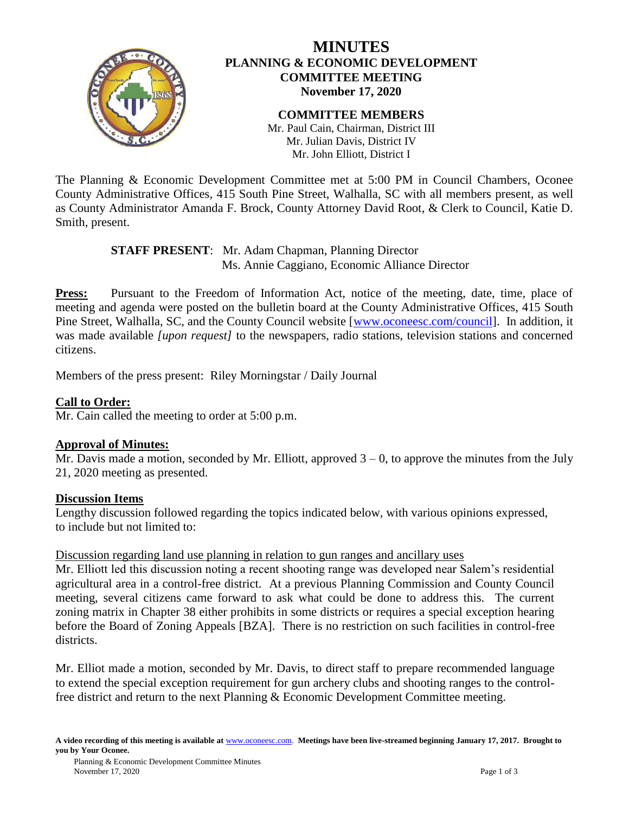

# **MINUTES PLANNING & ECONOMIC DEVELOPMENT COMMITTEE MEETING November 17, 2020**

**COMMITTEE MEMBERS** Mr. Paul Cain, Chairman, District III Mr. Julian Davis, District IV Mr. John Elliott, District I

The Planning & Economic Development Committee met at 5:00 PM in Council Chambers, Oconee County Administrative Offices, 415 South Pine Street, Walhalla, SC with all members present, as well as County Administrator Amanda F. Brock, County Attorney David Root, & Clerk to Council, Katie D. Smith, present.

### **STAFF PRESENT**: Mr. Adam Chapman, Planning Director Ms. Annie Caggiano, Economic Alliance Director

**Press:** Pursuant to the Freedom of Information Act, notice of the meeting, date, time, place of meeting and agenda were posted on the bulletin board at the County Administrative Offices, 415 South Pine Street, Walhalla, SC, and the County Council website [\[www.oconeesc.com/council\]](http://www.oconeesc.com/council). In addition, it was made available *[upon request]* to the newspapers, radio stations, television stations and concerned citizens.

Members of the press present: Riley Morningstar / Daily Journal

# **Call to Order:**

Mr. Cain called the meeting to order at 5:00 p.m.

## **Approval of Minutes:**

Mr. Davis made a motion, seconded by Mr. Elliott, approved  $3 - 0$ , to approve the minutes from the July 21, 2020 meeting as presented.

#### **Discussion Items**

Lengthy discussion followed regarding the topics indicated below, with various opinions expressed, to include but not limited to:

#### Discussion regarding land use planning in relation to gun ranges and ancillary uses

Mr. Elliott led this discussion noting a recent shooting range was developed near Salem's residential agricultural area in a control-free district. At a previous Planning Commission and County Council meeting, several citizens came forward to ask what could be done to address this. The current zoning matrix in Chapter 38 either prohibits in some districts or requires a special exception hearing before the Board of Zoning Appeals [BZA]. There is no restriction on such facilities in control-free districts.

Mr. Elliot made a motion, seconded by Mr. Davis, to direct staff to prepare recommended language to extend the special exception requirement for gun archery clubs and shooting ranges to the controlfree district and return to the next Planning & Economic Development Committee meeting.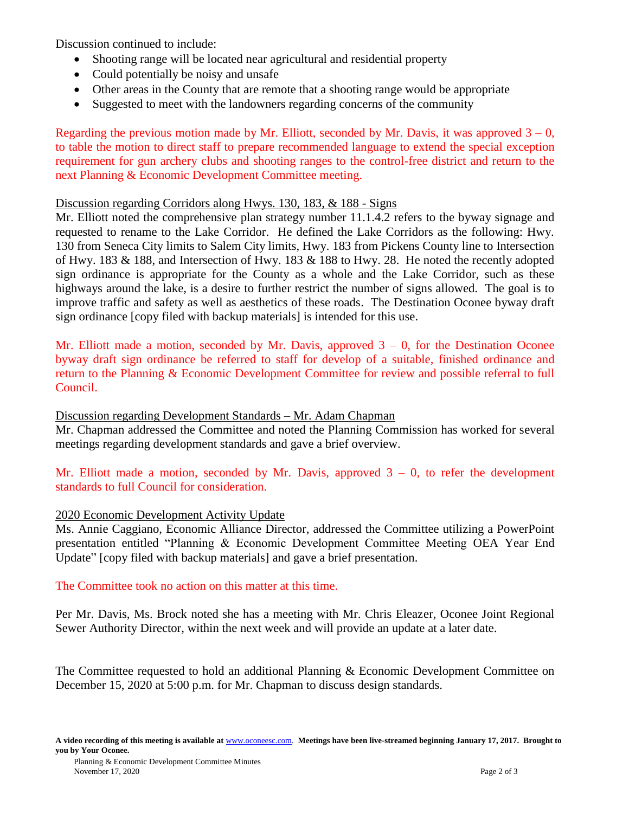Discussion continued to include:

- Shooting range will be located near agricultural and residential property
- Could potentially be noisy and unsafe
- Other areas in the County that are remote that a shooting range would be appropriate
- Suggested to meet with the landowners regarding concerns of the community

Regarding the previous motion made by Mr. Elliott, seconded by Mr. Davis, it was approved  $3 - 0$ , to table the motion to direct staff to prepare recommended language to extend the special exception requirement for gun archery clubs and shooting ranges to the control-free district and return to the next Planning & Economic Development Committee meeting.

### Discussion regarding Corridors along Hwys. 130, 183, & 188 - Signs

Mr. Elliott noted the comprehensive plan strategy number 11.1.4.2 refers to the byway signage and requested to rename to the Lake Corridor. He defined the Lake Corridors as the following: Hwy. 130 from Seneca City limits to Salem City limits, Hwy. 183 from Pickens County line to Intersection of Hwy. 183 & 188, and Intersection of Hwy. 183 & 188 to Hwy. 28. He noted the recently adopted sign ordinance is appropriate for the County as a whole and the Lake Corridor, such as these highways around the lake, is a desire to further restrict the number of signs allowed. The goal is to improve traffic and safety as well as aesthetics of these roads. The Destination Oconee byway draft sign ordinance [copy filed with backup materials] is intended for this use.

Mr. Elliott made a motion, seconded by Mr. Davis, approved  $3 - 0$ , for the Destination Oconee byway draft sign ordinance be referred to staff for develop of a suitable, finished ordinance and return to the Planning & Economic Development Committee for review and possible referral to full Council.

#### Discussion regarding Development Standards – Mr. Adam Chapman

Mr. Chapman addressed the Committee and noted the Planning Commission has worked for several meetings regarding development standards and gave a brief overview.

Mr. Elliott made a motion, seconded by Mr. Davis, approved  $3 - 0$ , to refer the development standards to full Council for consideration.

## 2020 Economic Development Activity Update

Ms. Annie Caggiano, Economic Alliance Director, addressed the Committee utilizing a PowerPoint presentation entitled "Planning & Economic Development Committee Meeting OEA Year End Update" [copy filed with backup materials] and gave a brief presentation.

The Committee took no action on this matter at this time.

Per Mr. Davis, Ms. Brock noted she has a meeting with Mr. Chris Eleazer, Oconee Joint Regional Sewer Authority Director, within the next week and will provide an update at a later date.

The Committee requested to hold an additional Planning & Economic Development Committee on December 15, 2020 at 5:00 p.m. for Mr. Chapman to discuss design standards.